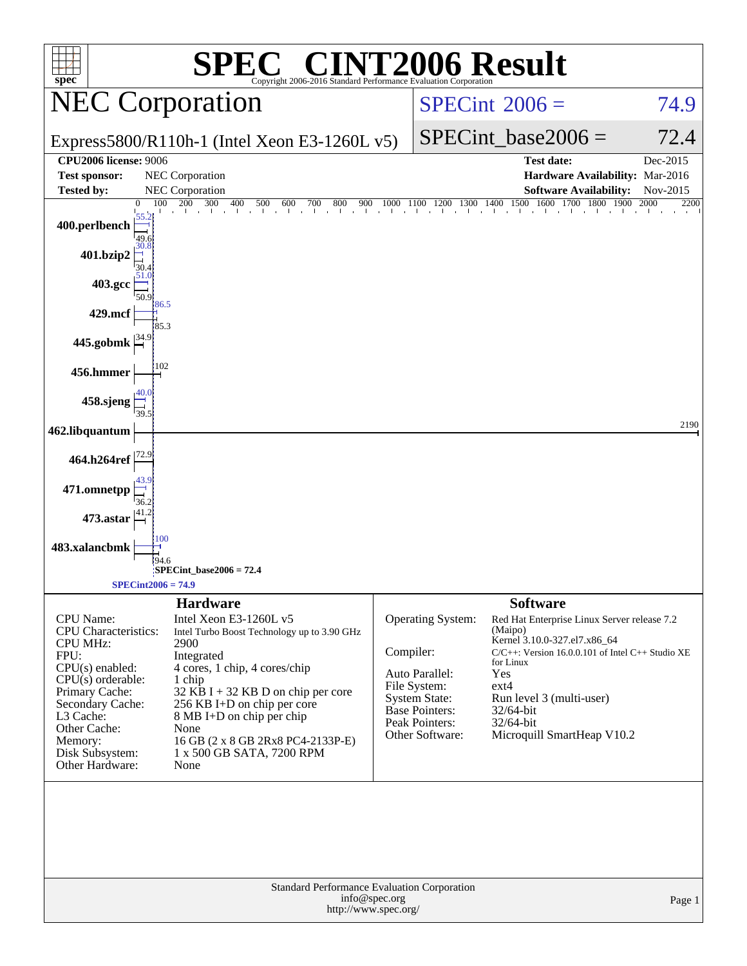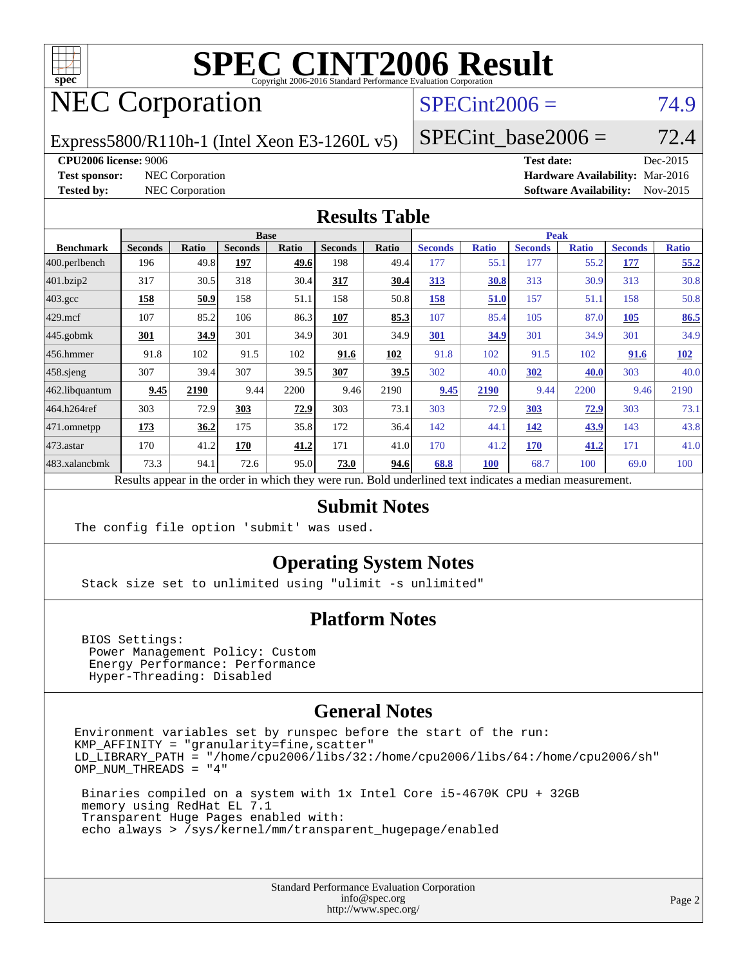

# **[SPEC CINT2006 Result](http://www.spec.org/auto/cpu2006/Docs/result-fields.html#SPECCINT2006Result)**

# NEC Corporation

#### $SPECint2006 = 74.9$  $SPECint2006 = 74.9$

Express5800/R110h-1 (Intel Xeon E3-1260L v5)

SPECint base2006 =  $72.4$ 

**[CPU2006 license:](http://www.spec.org/auto/cpu2006/Docs/result-fields.html#CPU2006license)** 9006 **[Test date:](http://www.spec.org/auto/cpu2006/Docs/result-fields.html#Testdate)** Dec-2015

**[Test sponsor:](http://www.spec.org/auto/cpu2006/Docs/result-fields.html#Testsponsor)** NEC Corporation **[Hardware Availability:](http://www.spec.org/auto/cpu2006/Docs/result-fields.html#HardwareAvailability)** Mar-2016 **[Tested by:](http://www.spec.org/auto/cpu2006/Docs/result-fields.html#Testedby)** NEC Corporation **[Software Availability:](http://www.spec.org/auto/cpu2006/Docs/result-fields.html#SoftwareAvailability)** Nov-2015

#### **[Results Table](http://www.spec.org/auto/cpu2006/Docs/result-fields.html#ResultsTable)**

|                    | <b>Base</b>                                                                                              |       |                |       |                |       | <b>Peak</b>    |              |                |              |                |              |  |
|--------------------|----------------------------------------------------------------------------------------------------------|-------|----------------|-------|----------------|-------|----------------|--------------|----------------|--------------|----------------|--------------|--|
| <b>Benchmark</b>   | <b>Seconds</b>                                                                                           | Ratio | <b>Seconds</b> | Ratio | <b>Seconds</b> | Ratio | <b>Seconds</b> | <b>Ratio</b> | <b>Seconds</b> | <b>Ratio</b> | <b>Seconds</b> | <b>Ratio</b> |  |
| $ 400$ .perlbench  | 196                                                                                                      | 49.8  | 197            | 49.6  | 198            | 49.4  | 177            | 55.1         | 177            | 55.2         | 177            | 55.2         |  |
| 401.bzip2          | 317                                                                                                      | 30.5  | 318            | 30.4  | 317            | 30.4  | 313            | 30.8         | 313            | 30.9         | 313            | 30.8         |  |
| $403.\mathrm{gcc}$ | 158                                                                                                      | 50.9  | 158            | 51.1  | 158            | 50.8  | 158            | 51.0         | 157            | 51.1         | 158            | 50.8         |  |
| $429$ .mcf         | 107                                                                                                      | 85.2  | 106            | 86.3  | 107            | 85.3  | 107            | 85.4         | 105            | 87.0         | <b>105</b>     | 86.5         |  |
| $445$ .gobmk       | <u>301</u>                                                                                               | 34.9  | 301            | 34.9  | 301            | 34.9  | <b>301</b>     | 34.9         | 301            | 34.9         | 301            | 34.9         |  |
| $456.$ hmmer       | 91.8                                                                                                     | 102   | 91.5           | 102   | 91.6           | 102   | 91.8           | 102          | 91.5           | 102          | 91.6           | 102          |  |
| $458$ .sjeng       | 307                                                                                                      | 39.4  | 307            | 39.5  | 307            | 39.5  | 302            | 40.0         | 302            | 40.0         | 303            | 40.0         |  |
| 462.libquantum     | 9.45                                                                                                     | 2190  | 9.44           | 2200  | 9.46           | 2190  | 9.45           | 2190         | 9.44           | 2200         | 9.46           | 2190         |  |
| 464.h264ref        | 303                                                                                                      | 72.9  | 303            | 72.9  | 303            | 73.1  | 303            | 72.9         | 303            | 72.9         | 303            | 73.1         |  |
| 471.omnetpp        | 173                                                                                                      | 36.2  | 175            | 35.8  | 172            | 36.4  | 142            | 44.1         | 142            | 43.9         | 143            | 43.8         |  |
| $473$ . astar      | 170                                                                                                      | 41.2  | 170            | 41.2  | 171            | 41.0  | 170            | 41.2         | <b>170</b>     | 41.2         | 171            | 41.0         |  |
| 483.xalancbmk      | 73.3                                                                                                     | 94.1  | 72.6           | 95.0  | 73.0           | 94.6  | 68.8           | <b>100</b>   | 68.7           | 100          | 69.0           | 100          |  |
|                    | Results appear in the order in which they were run. Bold underlined text indicates a median measurement. |       |                |       |                |       |                |              |                |              |                |              |  |

#### **[Submit Notes](http://www.spec.org/auto/cpu2006/Docs/result-fields.html#SubmitNotes)**

The config file option 'submit' was used.

#### **[Operating System Notes](http://www.spec.org/auto/cpu2006/Docs/result-fields.html#OperatingSystemNotes)**

Stack size set to unlimited using "ulimit -s unlimited"

#### **[Platform Notes](http://www.spec.org/auto/cpu2006/Docs/result-fields.html#PlatformNotes)**

 BIOS Settings: Power Management Policy: Custom Energy Performance: Performance Hyper-Threading: Disabled

#### **[General Notes](http://www.spec.org/auto/cpu2006/Docs/result-fields.html#GeneralNotes)**

Environment variables set by runspec before the start of the run: KMP\_AFFINITY = "granularity=fine,scatter" LD\_LIBRARY\_PATH = "/home/cpu2006/libs/32:/home/cpu2006/libs/64:/home/cpu2006/sh" OMP\_NUM\_THREADS = "4"

 Binaries compiled on a system with 1x Intel Core i5-4670K CPU + 32GB memory using RedHat EL 7.1 Transparent Huge Pages enabled with: echo always > /sys/kernel/mm/transparent\_hugepage/enabled

> Standard Performance Evaluation Corporation [info@spec.org](mailto:info@spec.org) <http://www.spec.org/>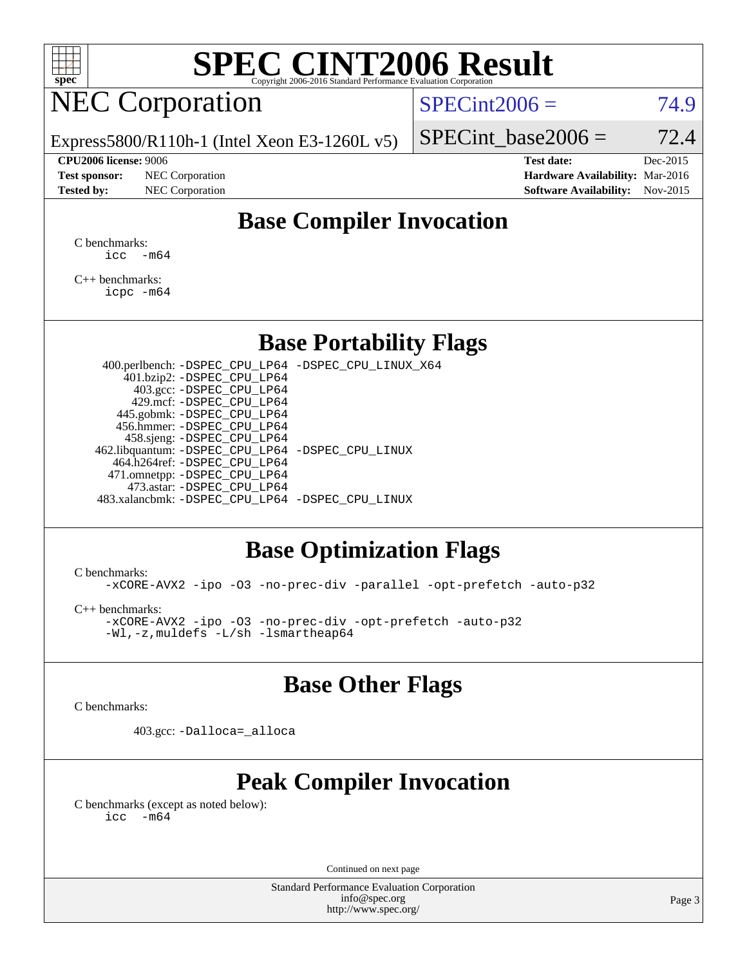

# **[SPEC CINT2006 Result](http://www.spec.org/auto/cpu2006/Docs/result-fields.html#SPECCINT2006Result)**

# NEC Corporation

 $SPECint2006 = 74.9$  $SPECint2006 = 74.9$ 

Express5800/R110h-1 (Intel Xeon E3-1260L v5)

**[Test sponsor:](http://www.spec.org/auto/cpu2006/Docs/result-fields.html#Testsponsor)** NEC Corporation **[Hardware Availability:](http://www.spec.org/auto/cpu2006/Docs/result-fields.html#HardwareAvailability)** Mar-2016

SPECint base2006 =  $72.4$ 

**[CPU2006 license:](http://www.spec.org/auto/cpu2006/Docs/result-fields.html#CPU2006license)** 9006 **[Test date:](http://www.spec.org/auto/cpu2006/Docs/result-fields.html#Testdate)** Dec-2015

## **[Tested by:](http://www.spec.org/auto/cpu2006/Docs/result-fields.html#Testedby)** NEC Corporation **[Software Availability:](http://www.spec.org/auto/cpu2006/Docs/result-fields.html#SoftwareAvailability)** Nov-2015

### **[Base Compiler Invocation](http://www.spec.org/auto/cpu2006/Docs/result-fields.html#BaseCompilerInvocation)**

[C benchmarks](http://www.spec.org/auto/cpu2006/Docs/result-fields.html#Cbenchmarks):  $\text{icc}$   $-\text{m64}$ 

[C++ benchmarks:](http://www.spec.org/auto/cpu2006/Docs/result-fields.html#CXXbenchmarks) [icpc -m64](http://www.spec.org/cpu2006/results/res2016q1/cpu2006-20160125-38811.flags.html#user_CXXbase_intel_icpc_64bit_fc66a5337ce925472a5c54ad6a0de310)

#### **[Base Portability Flags](http://www.spec.org/auto/cpu2006/Docs/result-fields.html#BasePortabilityFlags)**

 400.perlbench: [-DSPEC\\_CPU\\_LP64](http://www.spec.org/cpu2006/results/res2016q1/cpu2006-20160125-38811.flags.html#b400.perlbench_basePORTABILITY_DSPEC_CPU_LP64) [-DSPEC\\_CPU\\_LINUX\\_X64](http://www.spec.org/cpu2006/results/res2016q1/cpu2006-20160125-38811.flags.html#b400.perlbench_baseCPORTABILITY_DSPEC_CPU_LINUX_X64) 401.bzip2: [-DSPEC\\_CPU\\_LP64](http://www.spec.org/cpu2006/results/res2016q1/cpu2006-20160125-38811.flags.html#suite_basePORTABILITY401_bzip2_DSPEC_CPU_LP64) 403.gcc: [-DSPEC\\_CPU\\_LP64](http://www.spec.org/cpu2006/results/res2016q1/cpu2006-20160125-38811.flags.html#suite_basePORTABILITY403_gcc_DSPEC_CPU_LP64) 429.mcf: [-DSPEC\\_CPU\\_LP64](http://www.spec.org/cpu2006/results/res2016q1/cpu2006-20160125-38811.flags.html#suite_basePORTABILITY429_mcf_DSPEC_CPU_LP64) 445.gobmk: [-DSPEC\\_CPU\\_LP64](http://www.spec.org/cpu2006/results/res2016q1/cpu2006-20160125-38811.flags.html#suite_basePORTABILITY445_gobmk_DSPEC_CPU_LP64) 456.hmmer: [-DSPEC\\_CPU\\_LP64](http://www.spec.org/cpu2006/results/res2016q1/cpu2006-20160125-38811.flags.html#suite_basePORTABILITY456_hmmer_DSPEC_CPU_LP64) 458.sjeng: [-DSPEC\\_CPU\\_LP64](http://www.spec.org/cpu2006/results/res2016q1/cpu2006-20160125-38811.flags.html#suite_basePORTABILITY458_sjeng_DSPEC_CPU_LP64) 462.libquantum: [-DSPEC\\_CPU\\_LP64](http://www.spec.org/cpu2006/results/res2016q1/cpu2006-20160125-38811.flags.html#suite_basePORTABILITY462_libquantum_DSPEC_CPU_LP64) [-DSPEC\\_CPU\\_LINUX](http://www.spec.org/cpu2006/results/res2016q1/cpu2006-20160125-38811.flags.html#b462.libquantum_baseCPORTABILITY_DSPEC_CPU_LINUX) 464.h264ref: [-DSPEC\\_CPU\\_LP64](http://www.spec.org/cpu2006/results/res2016q1/cpu2006-20160125-38811.flags.html#suite_basePORTABILITY464_h264ref_DSPEC_CPU_LP64) 471.omnetpp: [-DSPEC\\_CPU\\_LP64](http://www.spec.org/cpu2006/results/res2016q1/cpu2006-20160125-38811.flags.html#suite_basePORTABILITY471_omnetpp_DSPEC_CPU_LP64) 473.astar: [-DSPEC\\_CPU\\_LP64](http://www.spec.org/cpu2006/results/res2016q1/cpu2006-20160125-38811.flags.html#suite_basePORTABILITY473_astar_DSPEC_CPU_LP64) 483.xalancbmk: [-DSPEC\\_CPU\\_LP64](http://www.spec.org/cpu2006/results/res2016q1/cpu2006-20160125-38811.flags.html#suite_basePORTABILITY483_xalancbmk_DSPEC_CPU_LP64) [-DSPEC\\_CPU\\_LINUX](http://www.spec.org/cpu2006/results/res2016q1/cpu2006-20160125-38811.flags.html#b483.xalancbmk_baseCXXPORTABILITY_DSPEC_CPU_LINUX)

#### **[Base Optimization Flags](http://www.spec.org/auto/cpu2006/Docs/result-fields.html#BaseOptimizationFlags)**

[C benchmarks](http://www.spec.org/auto/cpu2006/Docs/result-fields.html#Cbenchmarks):

[-xCORE-AVX2](http://www.spec.org/cpu2006/results/res2016q1/cpu2006-20160125-38811.flags.html#user_CCbase_f-xAVX2_5f5fc0cbe2c9f62c816d3e45806c70d7) [-ipo](http://www.spec.org/cpu2006/results/res2016q1/cpu2006-20160125-38811.flags.html#user_CCbase_f-ipo) [-O3](http://www.spec.org/cpu2006/results/res2016q1/cpu2006-20160125-38811.flags.html#user_CCbase_f-O3) [-no-prec-div](http://www.spec.org/cpu2006/results/res2016q1/cpu2006-20160125-38811.flags.html#user_CCbase_f-no-prec-div) [-parallel](http://www.spec.org/cpu2006/results/res2016q1/cpu2006-20160125-38811.flags.html#user_CCbase_f-parallel) [-opt-prefetch](http://www.spec.org/cpu2006/results/res2016q1/cpu2006-20160125-38811.flags.html#user_CCbase_f-opt-prefetch) [-auto-p32](http://www.spec.org/cpu2006/results/res2016q1/cpu2006-20160125-38811.flags.html#user_CCbase_f-auto-p32)

[C++ benchmarks:](http://www.spec.org/auto/cpu2006/Docs/result-fields.html#CXXbenchmarks)

[-xCORE-AVX2](http://www.spec.org/cpu2006/results/res2016q1/cpu2006-20160125-38811.flags.html#user_CXXbase_f-xAVX2_5f5fc0cbe2c9f62c816d3e45806c70d7) [-ipo](http://www.spec.org/cpu2006/results/res2016q1/cpu2006-20160125-38811.flags.html#user_CXXbase_f-ipo) [-O3](http://www.spec.org/cpu2006/results/res2016q1/cpu2006-20160125-38811.flags.html#user_CXXbase_f-O3) [-no-prec-div](http://www.spec.org/cpu2006/results/res2016q1/cpu2006-20160125-38811.flags.html#user_CXXbase_f-no-prec-div) [-opt-prefetch](http://www.spec.org/cpu2006/results/res2016q1/cpu2006-20160125-38811.flags.html#user_CXXbase_f-opt-prefetch) [-auto-p32](http://www.spec.org/cpu2006/results/res2016q1/cpu2006-20160125-38811.flags.html#user_CXXbase_f-auto-p32) [-Wl,-z,muldefs](http://www.spec.org/cpu2006/results/res2016q1/cpu2006-20160125-38811.flags.html#user_CXXbase_link_force_multiple1_74079c344b956b9658436fd1b6dd3a8a) [-L/sh -lsmartheap64](http://www.spec.org/cpu2006/results/res2016q1/cpu2006-20160125-38811.flags.html#user_CXXbase_SmartHeap64_ed4ef857ce90951921efb0d91eb88472)

#### **[Base Other Flags](http://www.spec.org/auto/cpu2006/Docs/result-fields.html#BaseOtherFlags)**

[C benchmarks](http://www.spec.org/auto/cpu2006/Docs/result-fields.html#Cbenchmarks):

403.gcc: [-Dalloca=\\_alloca](http://www.spec.org/cpu2006/results/res2016q1/cpu2006-20160125-38811.flags.html#b403.gcc_baseEXTRA_CFLAGS_Dalloca_be3056838c12de2578596ca5467af7f3)

## **[Peak Compiler Invocation](http://www.spec.org/auto/cpu2006/Docs/result-fields.html#PeakCompilerInvocation)**

[C benchmarks \(except as noted below\)](http://www.spec.org/auto/cpu2006/Docs/result-fields.html#Cbenchmarksexceptasnotedbelow):  $\text{icc}$  -m64

Continued on next page

Standard Performance Evaluation Corporation [info@spec.org](mailto:info@spec.org) <http://www.spec.org/>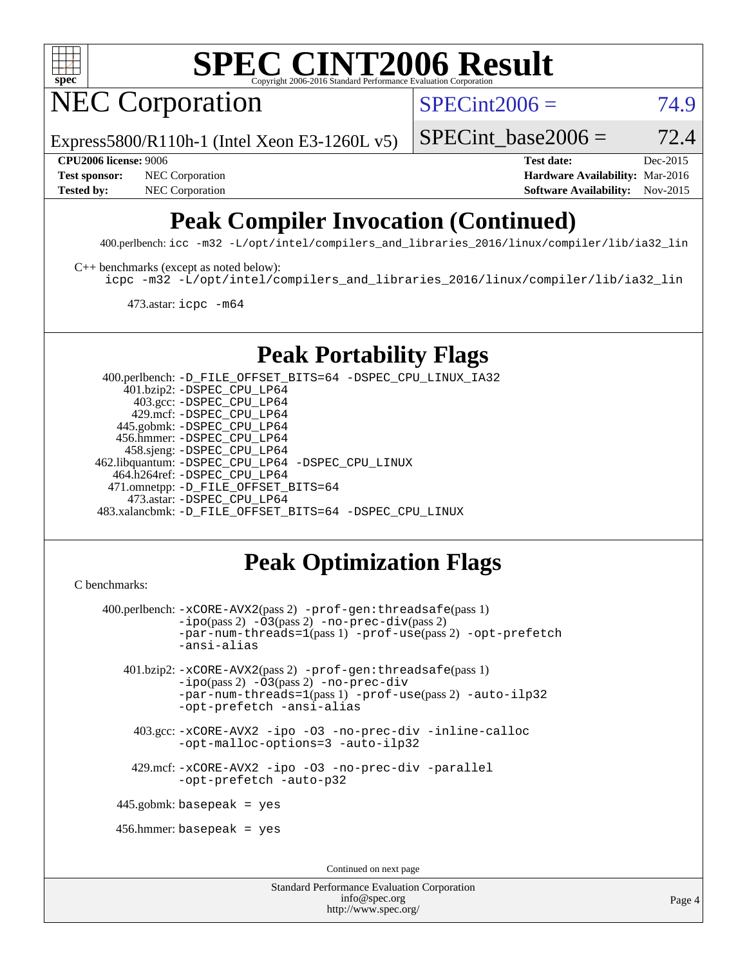

# **[SPEC CINT2006 Result](http://www.spec.org/auto/cpu2006/Docs/result-fields.html#SPECCINT2006Result)**

NEC Corporation

 $SPECint2006 = 74.9$  $SPECint2006 = 74.9$ 

Page 4

Express5800/R110h-1 (Intel Xeon E3-1260L v5)

SPECint base2006 =  $72.4$ 

**[CPU2006 license:](http://www.spec.org/auto/cpu2006/Docs/result-fields.html#CPU2006license)** 9006 **[Test date:](http://www.spec.org/auto/cpu2006/Docs/result-fields.html#Testdate)** Dec-2015 **[Test sponsor:](http://www.spec.org/auto/cpu2006/Docs/result-fields.html#Testsponsor)** NEC Corporation **NEC Corporation [Hardware Availability:](http://www.spec.org/auto/cpu2006/Docs/result-fields.html#HardwareAvailability)** Mar-2016 **[Tested by:](http://www.spec.org/auto/cpu2006/Docs/result-fields.html#Testedby)** NEC Corporation **NEC Corporation [Software Availability:](http://www.spec.org/auto/cpu2006/Docs/result-fields.html#SoftwareAvailability)** Nov-2015

# **[Peak Compiler Invocation \(Continued\)](http://www.spec.org/auto/cpu2006/Docs/result-fields.html#PeakCompilerInvocation)**

400.perlbench: [icc -m32 -L/opt/intel/compilers\\_and\\_libraries\\_2016/linux/compiler/lib/ia32\\_lin](http://www.spec.org/cpu2006/results/res2016q1/cpu2006-20160125-38811.flags.html#user_peakCCLD400_perlbench_intel_icc_e10256ba5924b668798078a321b0cb3f)

[C++ benchmarks \(except as noted below\):](http://www.spec.org/auto/cpu2006/Docs/result-fields.html#CXXbenchmarksexceptasnotedbelow)

[icpc -m32 -L/opt/intel/compilers\\_and\\_libraries\\_2016/linux/compiler/lib/ia32\\_lin](http://www.spec.org/cpu2006/results/res2016q1/cpu2006-20160125-38811.flags.html#user_CXXpeak_intel_icpc_b4f50a394bdb4597aa5879c16bc3f5c5)

473.astar: [icpc -m64](http://www.spec.org/cpu2006/results/res2016q1/cpu2006-20160125-38811.flags.html#user_peakCXXLD473_astar_intel_icpc_64bit_fc66a5337ce925472a5c54ad6a0de310)

### **[Peak Portability Flags](http://www.spec.org/auto/cpu2006/Docs/result-fields.html#PeakPortabilityFlags)**

 400.perlbench: [-D\\_FILE\\_OFFSET\\_BITS=64](http://www.spec.org/cpu2006/results/res2016q1/cpu2006-20160125-38811.flags.html#user_peakPORTABILITY400_perlbench_file_offset_bits_64_438cf9856305ebd76870a2c6dc2689ab) [-DSPEC\\_CPU\\_LINUX\\_IA32](http://www.spec.org/cpu2006/results/res2016q1/cpu2006-20160125-38811.flags.html#b400.perlbench_peakCPORTABILITY_DSPEC_CPU_LINUX_IA32) 401.bzip2: [-DSPEC\\_CPU\\_LP64](http://www.spec.org/cpu2006/results/res2016q1/cpu2006-20160125-38811.flags.html#suite_peakPORTABILITY401_bzip2_DSPEC_CPU_LP64) 403.gcc: [-DSPEC\\_CPU\\_LP64](http://www.spec.org/cpu2006/results/res2016q1/cpu2006-20160125-38811.flags.html#suite_peakPORTABILITY403_gcc_DSPEC_CPU_LP64) 429.mcf: [-DSPEC\\_CPU\\_LP64](http://www.spec.org/cpu2006/results/res2016q1/cpu2006-20160125-38811.flags.html#suite_peakPORTABILITY429_mcf_DSPEC_CPU_LP64) 445.gobmk: [-DSPEC\\_CPU\\_LP64](http://www.spec.org/cpu2006/results/res2016q1/cpu2006-20160125-38811.flags.html#suite_peakPORTABILITY445_gobmk_DSPEC_CPU_LP64) 456.hmmer: [-DSPEC\\_CPU\\_LP64](http://www.spec.org/cpu2006/results/res2016q1/cpu2006-20160125-38811.flags.html#suite_peakPORTABILITY456_hmmer_DSPEC_CPU_LP64) 458.sjeng: [-DSPEC\\_CPU\\_LP64](http://www.spec.org/cpu2006/results/res2016q1/cpu2006-20160125-38811.flags.html#suite_peakPORTABILITY458_sjeng_DSPEC_CPU_LP64) 462.libquantum: [-DSPEC\\_CPU\\_LP64](http://www.spec.org/cpu2006/results/res2016q1/cpu2006-20160125-38811.flags.html#suite_peakPORTABILITY462_libquantum_DSPEC_CPU_LP64) [-DSPEC\\_CPU\\_LINUX](http://www.spec.org/cpu2006/results/res2016q1/cpu2006-20160125-38811.flags.html#b462.libquantum_peakCPORTABILITY_DSPEC_CPU_LINUX) 464.h264ref: [-DSPEC\\_CPU\\_LP64](http://www.spec.org/cpu2006/results/res2016q1/cpu2006-20160125-38811.flags.html#suite_peakPORTABILITY464_h264ref_DSPEC_CPU_LP64) 471.omnetpp: [-D\\_FILE\\_OFFSET\\_BITS=64](http://www.spec.org/cpu2006/results/res2016q1/cpu2006-20160125-38811.flags.html#user_peakPORTABILITY471_omnetpp_file_offset_bits_64_438cf9856305ebd76870a2c6dc2689ab) 473.astar: [-DSPEC\\_CPU\\_LP64](http://www.spec.org/cpu2006/results/res2016q1/cpu2006-20160125-38811.flags.html#suite_peakPORTABILITY473_astar_DSPEC_CPU_LP64) 483.xalancbmk: [-D\\_FILE\\_OFFSET\\_BITS=64](http://www.spec.org/cpu2006/results/res2016q1/cpu2006-20160125-38811.flags.html#user_peakPORTABILITY483_xalancbmk_file_offset_bits_64_438cf9856305ebd76870a2c6dc2689ab) [-DSPEC\\_CPU\\_LINUX](http://www.spec.org/cpu2006/results/res2016q1/cpu2006-20160125-38811.flags.html#b483.xalancbmk_peakCXXPORTABILITY_DSPEC_CPU_LINUX)

## **[Peak Optimization Flags](http://www.spec.org/auto/cpu2006/Docs/result-fields.html#PeakOptimizationFlags)**

[info@spec.org](mailto:info@spec.org) <http://www.spec.org/>

```
Standard Performance Evaluation Corporation
C benchmarks: 
     400.perlbench: -xCORE-AVX2(pass 2) -prof-gen:threadsafe(pass 1)
                 -i\text{po}(pass 2) -\overline{0}3(pass 2)-no-prec-div(pass 2)
                 -par-num-threads=1(pass 1) -prof-use(pass 2) -opt-prefetch
                 -ansi-alias
        401.bzip2: -xCORE-AVX2(pass 2) -prof-gen:threadsafe(pass 1)
                 -ipo(pass 2) -O3(pass 2) -no-prec-div
                 -par-num-threads=1(pass 1) -prof-use(pass 2) -auto-ilp32
                 -opt-prefetch -ansi-alias
          403.gcc: -xCORE-AVX2 -ipo -O3 -no-prec-div -inline-calloc
                 -opt-malloc-options=3 -auto-ilp32
          429.mcf: -xCORE-AVX2 -ipo -O3 -no-prec-div -parallel
                 -opt-prefetch -auto-p32
       445.gobmk: basepeak = yes
       456.hmmer: basepeak = yes
                                         Continued on next page
```